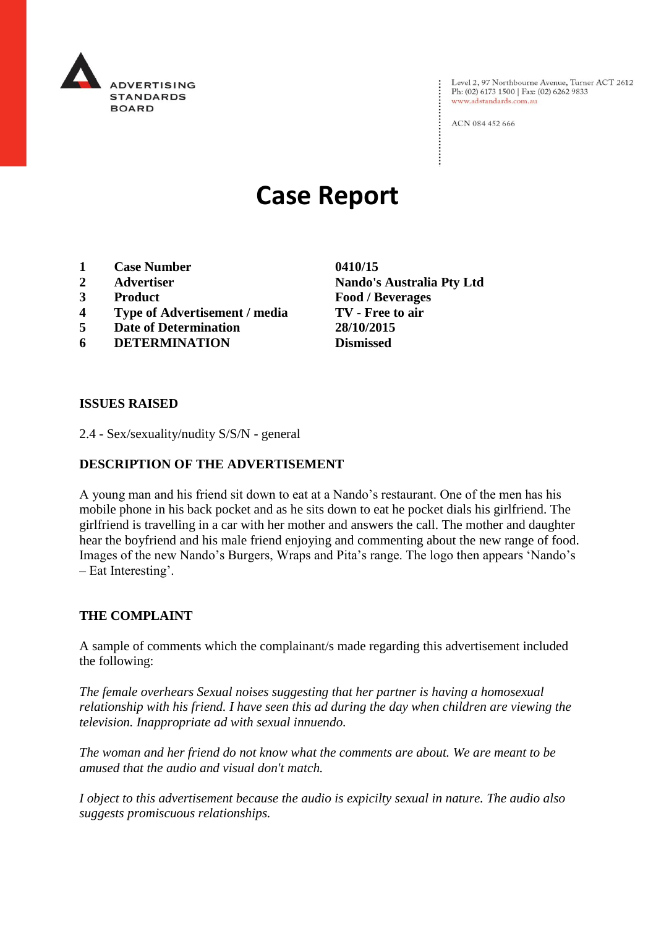

Level 2, 97 Northbourne Avenue, Turner ACT 2612 Ph: (02) 6173 1500 | Fax: (02) 6262 9833 www.adstandards.com.au

ACN 084 452 666

# **Case Report**

- **1 Case Number 0410/15**
- 
- 
- **4 Type of Advertisement / media TV - Free to air**
- **5 Date of Determination 28/10/2015**
- **6 DETERMINATION Dismissed**

**2 Advertiser Nando's Australia Pty Ltd 3 Product Food / Beverages**

#### **ISSUES RAISED**

2.4 - Sex/sexuality/nudity S/S/N - general

## **DESCRIPTION OF THE ADVERTISEMENT**

A young man and his friend sit down to eat at a Nando's restaurant. One of the men has his mobile phone in his back pocket and as he sits down to eat he pocket dials his girlfriend. The girlfriend is travelling in a car with her mother and answers the call. The mother and daughter hear the boyfriend and his male friend enjoying and commenting about the new range of food. Images of the new Nando's Burgers, Wraps and Pita's range. The logo then appears 'Nando's – Eat Interesting'.

#### **THE COMPLAINT**

A sample of comments which the complainant/s made regarding this advertisement included the following:

*The female overhears Sexual noises suggesting that her partner is having a homosexual relationship with his friend. I have seen this ad during the day when children are viewing the television. Inappropriate ad with sexual innuendo.*

*The woman and her friend do not know what the comments are about. We are meant to be amused that the audio and visual don't match.*

*I object to this advertisement because the audio is expicilty sexual in nature. The audio also suggests promiscuous relationships.*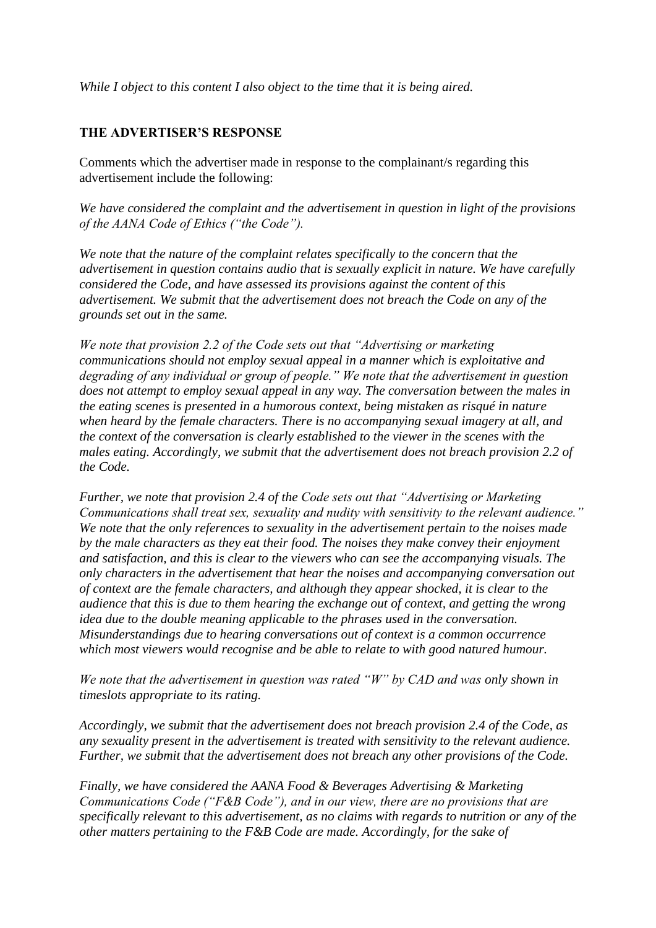*While I object to this content I also object to the time that it is being aired.*

## **THE ADVERTISER'S RESPONSE**

Comments which the advertiser made in response to the complainant/s regarding this advertisement include the following:

*We have considered the complaint and the advertisement in question in light of the provisions of the AANA Code of Ethics ("the Code").*

*We note that the nature of the complaint relates specifically to the concern that the advertisement in question contains audio that is sexually explicit in nature. We have carefully considered the Code, and have assessed its provisions against the content of this advertisement. We submit that the advertisement does not breach the Code on any of the grounds set out in the same.*

*We note that provision 2.2 of the Code sets out that "Advertising or marketing communications should not employ sexual appeal in a manner which is exploitative and degrading of any individual or group of people." We note that the advertisement in question does not attempt to employ sexual appeal in any way. The conversation between the males in the eating scenes is presented in a humorous context, being mistaken as risqué in nature when heard by the female characters. There is no accompanying sexual imagery at all, and the context of the conversation is clearly established to the viewer in the scenes with the males eating. Accordingly, we submit that the advertisement does not breach provision 2.2 of the Code.*

*Further, we note that provision 2.4 of the Code sets out that "Advertising or Marketing Communications shall treat sex, sexuality and nudity with sensitivity to the relevant audience." We note that the only references to sexuality in the advertisement pertain to the noises made by the male characters as they eat their food. The noises they make convey their enjoyment and satisfaction, and this is clear to the viewers who can see the accompanying visuals. The only characters in the advertisement that hear the noises and accompanying conversation out of context are the female characters, and although they appear shocked, it is clear to the audience that this is due to them hearing the exchange out of context, and getting the wrong idea due to the double meaning applicable to the phrases used in the conversation. Misunderstandings due to hearing conversations out of context is a common occurrence which most viewers would recognise and be able to relate to with good natured humour.*

*We note that the advertisement in question was rated "W" by CAD and was only shown in timeslots appropriate to its rating.*

*Accordingly, we submit that the advertisement does not breach provision 2.4 of the Code, as any sexuality present in the advertisement is treated with sensitivity to the relevant audience. Further, we submit that the advertisement does not breach any other provisions of the Code.*

*Finally, we have considered the AANA Food & Beverages Advertising & Marketing Communications Code ("F&B Code"), and in our view, there are no provisions that are specifically relevant to this advertisement, as no claims with regards to nutrition or any of the other matters pertaining to the F&B Code are made. Accordingly, for the sake of*